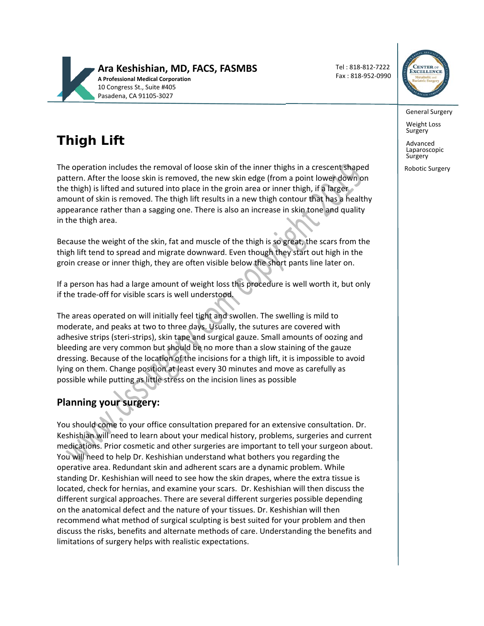

Tel : 818‐812‐7222 Fax : 818‐952‐0990



General Surgery

Weight Loss<br>Surgery

Advanced Laparoscopic **Surgery** 

Robotic Surgery

# **Thigh Lift**

The operation includes the removal of loose skin of the inner thighs in a crescent shaped pattern. After the loose skin is removed, the new skin edge (from a point lower down on the thigh) is lifted and sutured into place in the groin area or inner thigh, if a larger amount of skin is removed. The thigh lift results in a new thigh contour that has a healthy appearance rather than a sagging one. There is also an increase in skin tone and quality in the thigh area.

Because the weight of the skin, fat and muscle of the thigh is so great, the scars from the thigh lift tend to spread and migrate downward. Even though they start out high in the groin crease or inner thigh, they are often visible below the short pants line later on.

If a person has had a large amount of weight loss this procedure is well worth it, but only if the trade‐off for visible scars is well understood.

The areas operated on will initially feel tight and swollen. The swelling is mild to moderate, and peaks at two to three days. Usually, the sutures are covered with adhesive strips (steri‐strips), skin tape and surgical gauze. Small amounts of oozing and bleeding are very common but should be no more than a slow staining of the gauze dressing. Because of the location of the incisions for a thigh lift, it is impossible to avoid lying on them. Change position at least every 30 minutes and move as carefully as possible while putting as little stress on the incision lines as possible

## **Planning your surgery:**

You should come to your office consultation prepared for an extensive consultation. Dr. Keshishian will need to learn about your medical history, problems, surgeries and current medications. Prior cosmetic and other surgeries are important to tell your surgeon about. You will need to help Dr. Keshishian understand what bothers you regarding the operative area. Redundant skin and adherent scars are a dynamic problem. While standing Dr. Keshishian will need to see how the skin drapes, where the extra tissue is located, check for hernias, and examine your scars. Dr. Keshishian will then discuss the different surgical approaches. There are several different surgeries possible depending on the anatomical defect and the nature of your tissues. Dr. Keshishian will then recommend what method of surgical sculpting is best suited for your problem and then discuss the risks, benefits and alternate methods of care. Understanding the benefits and limitations of surgery helps with realistic expectations.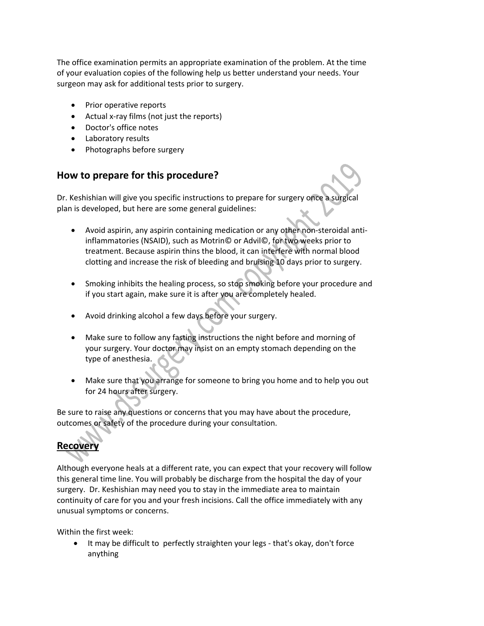The office examination permits an appropriate examination of the problem. At the time of your evaluation copies of the following help us better understand your needs. Your surgeon may ask for additional tests prior to surgery.

- Prior operative reports
- Actual x-ray films (not just the reports)
- Doctor's office notes
- Laboratory results
- Photographs before surgery

#### **How to prepare for this procedure?**

Dr. Keshishian will give you specific instructions to prepare for surgery once a surgical plan is developed, but here are some general guidelines:

- Avoid aspirin, any aspirin containing medication or any other non‐steroidal anti‐ inflammatories (NSAID), such as Motrin© or Advil©, for two weeks prior to treatment. Because aspirin thins the blood, it can interfere with normal blood clotting and increase the risk of bleeding and bruising 10 days prior to surgery.
- Smoking inhibits the healing process, so stop smoking before your procedure and if you start again, make sure it is after you are completely healed.
- Avoid drinking alcohol a few days before your surgery.
- Make sure to follow any fasting instructions the night before and morning of your surgery. Your doctor may insist on an empty stomach depending on the type of anesthesia.
- Make sure that you arrange for someone to bring you home and to help you out for 24 hours after surgery.

Be sure to raise any questions or concerns that you may have about the procedure, outcomes or safety of the procedure during your consultation.

## **Recovery**

Although everyone heals at a different rate, you can expect that your recovery will follow this general time line. You will probably be discharge from the hospital the day of your surgery. Dr. Keshishian may need you to stay in the immediate area to maintain continuity of care for you and your fresh incisions. Call the office immediately with any unusual symptoms or concerns.

Within the first week:

 It may be difficult to perfectly straighten your legs ‐ that's okay, don't force anything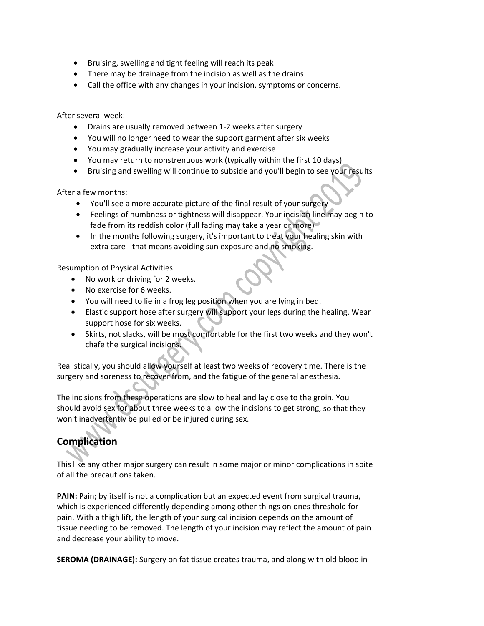- Bruising, swelling and tight feeling will reach its peak
- There may be drainage from the incision as well as the drains
- Call the office with any changes in your incision, symptoms or concerns.

After several week:

- Drains are usually removed between 1-2 weeks after surgery
- You will no longer need to wear the support garment after six weeks
- You may gradually increase your activity and exercise
- You may return to nonstrenuous work (typically within the first 10 days)
- Bruising and swelling will continue to subside and you'll begin to see your results

After a few months:

- You'll see a more accurate picture of the final result of your surgery
- Feelings of numbness or tightness will disappear. Your incision line may begin to fade from its reddish color (full fading may take a year or more)
- In the months following surgery, it's important to treat your healing skin with extra care ‐ that means avoiding sun exposure and no smoking.

Resumption of Physical Activities

- No work or driving for 2 weeks.
- No exercise for 6 weeks.
- You will need to lie in a frog leg position when you are lying in bed.
- Elastic support hose after surgery will support your legs during the healing. Wear support hose for six weeks.
- Skirts, not slacks, will be most comfortable for the first two weeks and they won't chafe the surgical incisions.

Realistically, you should allow yourself at least two weeks of recovery time. There is the surgery and soreness to recover from, and the fatigue of the general anesthesia.

The incisions from these operations are slow to heal and lay close to the groin. You should avoid sex for about three weeks to allow the incisions to get strong, so that they won't inadvertently be pulled or be injured during sex.

## **Complication**

This like any other major surgery can result in some major or minor complications in spite of all the precautions taken.

**PAIN:** Pain; by itself is not a complication but an expected event from surgical trauma, which is experienced differently depending among other things on ones threshold for pain. With a thigh lift, the length of your surgical incision depends on the amount of tissue needing to be removed. The length of your incision may reflect the amount of pain and decrease your ability to move.

**SEROMA (DRAINAGE):** Surgery on fat tissue creates trauma, and along with old blood in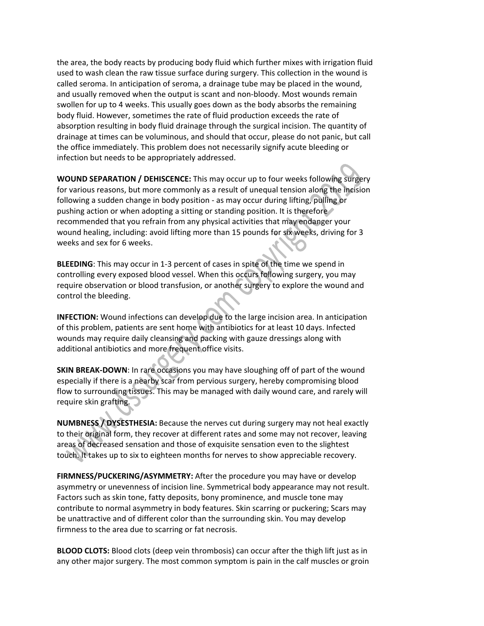the area, the body reacts by producing body fluid which further mixes with irrigation fluid used to wash clean the raw tissue surface during surgery. This collection in the wound is called seroma. In anticipation of seroma, a drainage tube may be placed in the wound, and usually removed when the output is scant and non‐bloody. Most wounds remain swollen for up to 4 weeks. This usually goes down as the body absorbs the remaining body fluid. However, sometimes the rate of fluid production exceeds the rate of absorption resulting in body fluid drainage through the surgical incision. The quantity of drainage at times can be voluminous, and should that occur, please do not panic, but call the office immediately. This problem does not necessarily signify acute bleeding or infection but needs to be appropriately addressed.

**WOUND SEPARATION / DEHISCENCE:** This may occur up to four weeks following surgery for various reasons, but more commonly as a result of unequal tension along the incision following a sudden change in body position ‐ as may occur during lifting, pulling or pushing action or when adopting a sitting or standing position. It is therefore recommended that you refrain from any physical activities that may endanger your wound healing, including: avoid lifting more than 15 pounds for six weeks, driving for 3 weeks and sex for 6 weeks.

**BLEEDING**: This may occur in 1‐3 percent of cases in spite of the time we spend in controlling every exposed blood vessel. When this occurs following surgery, you may require observation or blood transfusion, or another surgery to explore the wound and control the bleeding.

**INFECTION:** Wound infections can develop due to the large incision area. In anticipation of this problem, patients are sent home with antibiotics for at least 10 days. Infected wounds may require daily cleansing and packing with gauze dressings along with additional antibiotics and more frequent office visits.

**SKIN BREAK‐DOWN**: In rare occasions you may have sloughing off of part of the wound especially if there is a nearby scar from pervious surgery, hereby compromising blood flow to surrounding tissues. This may be managed with daily wound care, and rarely will require skin grafting.

**NUMBNESS / DYSESTHESIA:** Because the nerves cut during surgery may not heal exactly to their original form, they recover at different rates and some may not recover, leaving areas of decreased sensation and those of exquisite sensation even to the slightest touch. It takes up to six to eighteen months for nerves to show appreciable recovery.

**FIRMNESS/PUCKERING/ASYMMETRY:** After the procedure you may have or develop asymmetry or unevenness of incision line. Symmetrical body appearance may not result. Factors such as skin tone, fatty deposits, bony prominence, and muscle tone may contribute to normal asymmetry in body features. Skin scarring or puckering; Scars may be unattractive and of different color than the surrounding skin. You may develop firmness to the area due to scarring or fat necrosis.

**BLOOD CLOTS:** Blood clots (deep vein thrombosis) can occur after the thigh lift just as in any other major surgery. The most common symptom is pain in the calf muscles or groin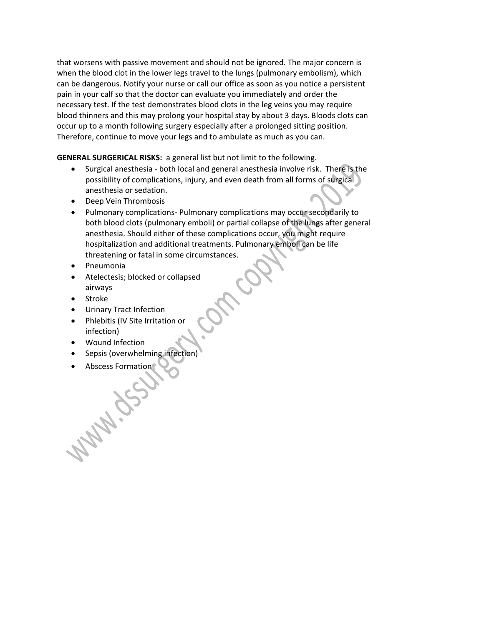that worsens with passive movement and should not be ignored. The major concern is when the blood clot in the lower legs travel to the lungs (pulmonary embolism), which can be dangerous. Notify your nurse or call our office as soon as you notice a persistent pain in your calf so that the doctor can evaluate you immediately and order the necessary test. If the test demonstrates blood clots in the leg veins you may require blood thinners and this may prolong your hospital stay by about 3 days. Bloods clots can occur up to a month following surgery especially after a prolonged sitting position. Therefore, continue to move your legs and to ambulate as much as you can.

**GENERAL SURGERICAL RISKS:** a general list but not limit to the following.

- Surgical anesthesia both local and general anesthesia involve risk. There is the possibility of complications, injury, and even death from all forms of surgical anesthesia or sedation.
- Deep Vein Thrombosis
- Pulmonary complications- Pulmonary complications may occur secondarily to both blood clots (pulmonary emboli) or partial collapse of the lungs after general anesthesia. Should either of these complications occur, you might require hospitalization and additional treatments. Pulmonary emboli can be life threatening or fatal in some circumstances.
- Pneumonia
- Atelectesis; blocked or collapsed airways
- Stroke
- Urinary Tract Infection
- Phlebitis (IV Site Irritation or infection)
- Wound Infection
- Sepsis (overwhelming infection)
- Abscess Formation